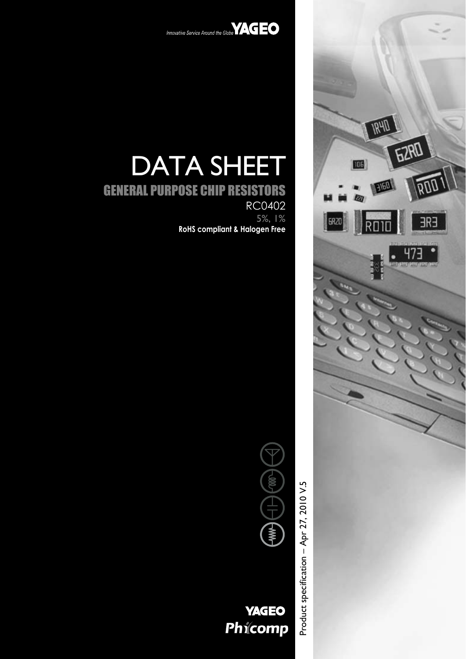



# DATA SHEET

# GENERAL PURPOSE CHIP RESISTORS RC0402 5%, 1% **RoHS compliant & Halogen Free**





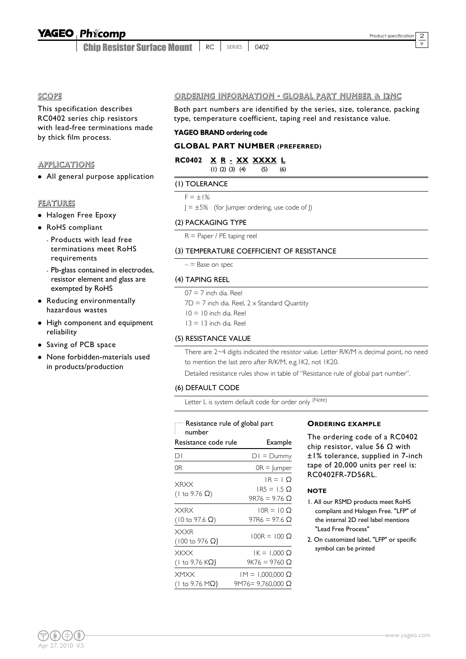Chip Resistor Surface Mount RC SERIES 0402 9

SCOPE

This specification describes RC0402 series chip resistors with lead-free terminations made by thick film process.

#### APPLICATIONS

• All general purpose application

#### FEATURES

- Halogen Free Epoxy
- RoHS compliant
	- Products with lead free terminations meet RoHS requirements
	- Pb-glass contained in electrodes, resistor element and glass are exempted by RoHS
- Reducing environmentally hazardous wastes
- High component and equipment reliability
- Saving of PCB space
- None forbidden-materials used in products/production

#### ORDERING INFORMATION - GLOBAL PART NUMBER & 12NC

Both part numbers are identified by the series, size, tolerance, packing type, temperature coefficient, taping reel and resistance value.

#### **YAGEO BRAND ordering code**

#### **GLOBAL PART NUMBER (PREFERRED)**

| RC0402 X R - XX XXXX L |  |                         |     |     |  |
|------------------------|--|-------------------------|-----|-----|--|
|                        |  | $(1)$ $(2)$ $(3)$ $(4)$ | (5) | (6) |  |

#### (1) TOLERANCE

 $F = +1%$ 

 $J = \pm 5\%$  (for Jumper ordering, use code of J)

#### (2) PACKAGING TYPE

R = Paper / PE taping reel

#### (3) TEMPERATURE COEFFICIENT OF RESISTANCE

 $-$  = Base on spec

#### (4) TAPING REEL

 $07 = 7$  inch dia. Reel

 $7D = 7$  inch dia. Reel,  $2 \times$  Standard Quantity

- $10 = 10$  inch dia. Reel
- $13 = 13$  inch dia. Reel

#### (5) RESISTANCE VALUE

There are 2~4 digits indicated the resistor value. Letter R/K/M is decimal point, no need to mention the last zero after R/K/M, e.g.1K2, not 1K20.

Detailed resistance rules show in table of "Resistance rule of global part number".

#### (6) DEFAULT CODE

Letter L is system default code for order only (Note)

#### Resistance rule of global part

| number                                        |                                                  |
|-----------------------------------------------|--------------------------------------------------|
| Resistance code rule                          | Example                                          |
| DΙ                                            | $DI = Dummy$                                     |
| 0R                                            | $OR =  $ umper                                   |
| <b>XRXX</b><br>(1 to 9.76 Ω)                  | $IR = 1$ $O$<br>$IR5 = 1.5$ Q<br>$9R76 = 9.76$ Q |
| <b>XXRX</b><br>$(10 \text{ to } 97.6 \Omega)$ | $10R = 10Q$<br>97R6 = 97.6 Ω                     |
| <b>XXXR</b><br>$(100 \text{ to } 976 \Omega)$ | $100R = 100$ O                                   |
| XKXX<br>(1 to 9.76 KΩ)                        | $IK = 1,000 \Omega$<br>9K76 = 9760 Ω             |
| XMXX<br>(Ι to 9.76 MΩ)                        | $PM = 1,000,000 \Omega$<br>9M76= 9,760,000 Ω     |

#### **ORDERING EXAMPLE**

The ordering code of a RC0402 chip resistor, value 56  $\Omega$  with ±1% tolerance, supplied in 7-inch tape of 20,000 units per reel is: RC0402FR-7D56RL.

#### **NOTE**

- 1. All our RSMD products meet RoHS compliant and Halogen Free. "LFP" of the internal 2D reel label mentions "Lead Free Process"
- 2. On customized label, "LFP" or specific symbol can be printed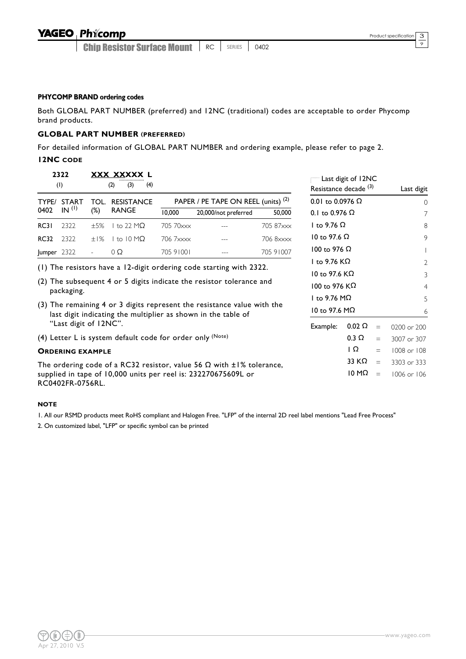Chip Resistor Surface Mount | RC | SERIES | 0402

9

#### **PHYCOMP BRAND ordering codes**

Both GLOBAL PART NUMBER (preferred) and 12NC (traditional) codes are acceptable to order Phycomp brand products.

#### **GLOBAL PART NUMBER (PREFERRED)**

For detailed information of GLOBAL PART NUMBER and ordering example, please refer to page 2.

#### **12NC CODE**

|             | 2322<br>(1)             |                     | XXX XXXXX L<br>(3)<br>(4)<br>(2)                            |           |                                                                                                                                          |           | Resistance decade <sup>(3)</sup> | Last digit of 12NC |          | Last digit   |
|-------------|-------------------------|---------------------|-------------------------------------------------------------|-----------|------------------------------------------------------------------------------------------------------------------------------------------|-----------|----------------------------------|--------------------|----------|--------------|
| TYPE/       | <b>START</b>            | TOL.                | <b>RESISTANCE</b>                                           |           | PAPER / PE TAPE ON REEL (units) <sup>(2)</sup>                                                                                           |           | 0.01 to 0.0976 $\Omega$          |                    |          | $\Omega$     |
| 0402        | IN <sup>(1)</sup>       | $(\%)$              | <b>RANGE</b>                                                | 10,000    | 20,000/not preferred                                                                                                                     | 50,000    | 0.1 to 0.976 $\Omega$            |                    |          | 7            |
| RC31        | 2322                    | ±5%                 | I to 22 M $\Omega$                                          | 705 70xxx |                                                                                                                                          | 705 87xxx | I to 9.76 $\Omega$               |                    |          | 8            |
| <b>RC32</b> | 2322                    | ±1%                 | to $10 \text{ M}\Omega$                                     | 706 7xxxx |                                                                                                                                          | 706 8xxxx | 10 to 97.6 $\Omega$              |                    |          | 9            |
| Jumper 2322 |                         | $\bar{\phantom{a}}$ | $\Omega$                                                    | 705 91001 |                                                                                                                                          | 705 91007 | 100 to 976 $\Omega$              |                    |          |              |
|             |                         |                     |                                                             |           |                                                                                                                                          |           | I to 9.76 $K\Omega$              |                    |          | $\mathbf{2}$ |
|             |                         |                     |                                                             |           | (1) The resistors have a 12-digit ordering code starting with 2322.                                                                      |           | 10 to 97.6 $K\Omega$             |                    |          | 3            |
|             | packaging.              |                     |                                                             |           | (2) The subsequent 4 or 5 digits indicate the resistor tolerance and                                                                     |           | 100 to 976 KΩ                    |                    |          | 4            |
|             |                         |                     |                                                             |           |                                                                                                                                          |           | I to 9.76 M $\Omega$             |                    |          | 5            |
|             |                         |                     |                                                             |           | (3) The remaining 4 or 3 digits represent the resistance value with the<br>last digit indicating the multiplier as shown in the table of |           | 10 to 97.6 M $\Omega$            |                    |          | 6            |
|             | "Last digit of 12NC".   |                     |                                                             |           |                                                                                                                                          |           | Example:                         | $0.02 \Omega$      | $=$      | 0200 or 200  |
|             |                         |                     | (4) Letter L is system default code for order only $(Note)$ |           |                                                                                                                                          |           |                                  | $0.3 \Omega$       | $=$      | 3007 or 307  |
|             | <b>ORDERING EXAMPLE</b> |                     |                                                             |           |                                                                                                                                          |           |                                  | IΩ                 | $=$      | 1008 or 108  |
|             |                         |                     |                                                             |           | The ordering code of a RC32 resistor, value 56 $\Omega$ with $\pm 1\%$ tolerance,                                                        |           |                                  | 33 KΩ              | $=$      | 3303 or 333  |
|             | RC0402FR-0756RL.        |                     |                                                             |           | supplied in tape of 10,000 units per reel is: 232270675609L or                                                                           |           |                                  | 10 M $\Omega$      | $\equiv$ | 1006 or 106  |

#### **NOTE**

1. All our RSMD products meet RoHS compliant and Halogen Free. "LFP" of the internal 2D reel label mentions "Lead Free Process"

2. On customized label, "LFP" or specific symbol can be printed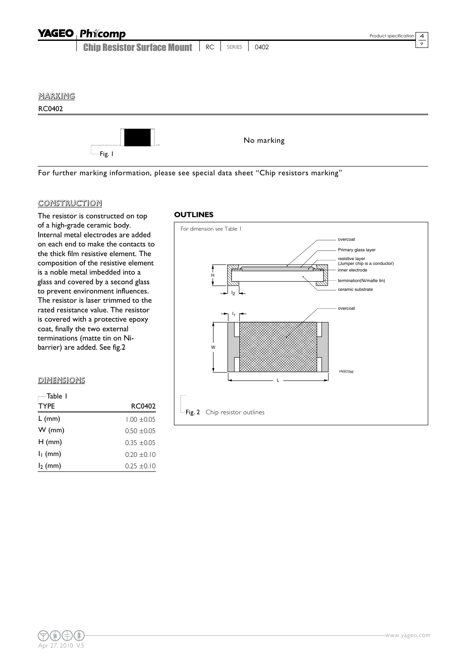|         | <b>YAGEO Phicomp</b>               |    |        |            | $\overline{4}$<br>Product specification |
|---------|------------------------------------|----|--------|------------|-----------------------------------------|
|         | <b>Chip Resistor Surface Mount</b> | RC | SERIES | 0402       | $\overline{9}$                          |
|         |                                    |    |        |            |                                         |
|         |                                    |    |        |            |                                         |
| MARKING |                                    |    |        |            |                                         |
| RC0402  |                                    |    |        |            |                                         |
|         | -Fig. I                            |    |        | No marking |                                         |

For further marking information, please see special data sheet "Chip resistors marking"

#### CONSTRUCTION

The resistor is constructed on top of a high-grade ceramic body. Internal metal electrodes are added on each end to make the contacts to the thick film resistive element. The composition of the resistive element is a noble metal imbedded into a glass and covered by a second glass to prevent environment influences. The resistor is laser trimmed to the rated resistance value. The resistor is covered with a protective epoxy coat, finally the two external terminations (matte tin on Nibarrier) are added. See fig.2

#### **DIMENSIONS**

| —Table I    |                 |
|-------------|-----------------|
| <b>TYPE</b> | RC0402          |
| $L$ (mm)    | $1.00 + 0.05$   |
| $W$ (mm)    | $0.50 + 0.05$   |
| $H$ (mm)    | 035 +005        |
| $I1$ (mm)   | $0.20 \pm 0.10$ |
| $l_2$ (mm)  | $0.25 \pm 0.10$ |

#### **OUTLINES**

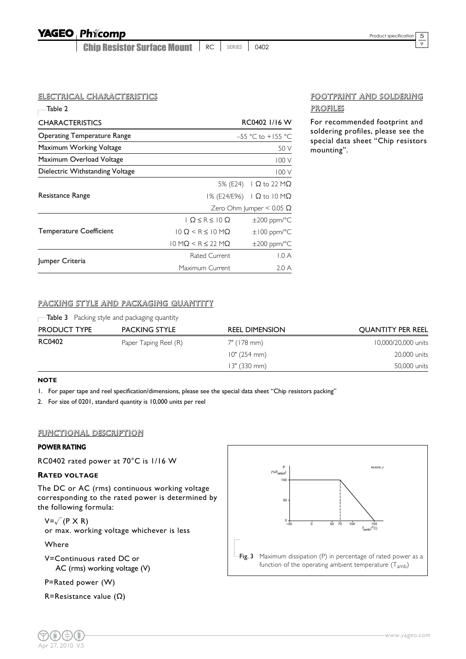Chip Resistor Surface Mount RC SERIES 0402 9

#### ELECTRICAL CHARACTERISTICS

| -Table 2                           |                                                   |                                        |
|------------------------------------|---------------------------------------------------|----------------------------------------|
| <b>CHARACTERISTICS</b>             |                                                   | RC0402 1/16 W                          |
| <b>Operating Temperature Range</b> |                                                   | -55 °C to +155 °C                      |
| Maximum Working Voltage            |                                                   | 50 V                                   |
| Maximum Overload Voltage           |                                                   | 100 V                                  |
| Dielectric Withstanding Voltage    |                                                   | 100 V                                  |
|                                    |                                                   | 5% (E24)   Ω to 22 MΩ                  |
| Resistance Range                   |                                                   | I% (E24/E96) $\Box$ Q to 10 M $\Omega$ |
|                                    |                                                   | Zero Ohm Jumper < $0.05 \Omega$        |
|                                    | $Q \leq R \leq 10 \Omega$                         | $\pm 200$ ppm/°C                       |
| <b>Temperature Coefficient</b>     | $10 \Omega \le R \le 10 M\Omega$                  | $\pm$ 100 ppm/ $\degree$ C             |
|                                    | $10 \text{ M}\Omega \le R \le 22 \text{ M}\Omega$ | $\pm 200$ ppm/°C                       |
| Jumper Criteria                    | Rated Current                                     | 1.0 A                                  |
|                                    | Maximum Current                                   | 2.0A                                   |

#### FOOTPRINT AND SOLDERING PROFILES

For recommended footprint and soldering profiles, please see the special data sheet "Chip resistors mounting".

#### PACKING STYLE AND PACKAGING QUANTITY

 $\Box$ Table 3 Packing style and packaging quantity

| <b>PRODUCT TYPE</b> | <b>PACKING STYLE</b>  | <b>REEL DIMENSION</b> | <b>QUANTITY PER REEL</b> |
|---------------------|-----------------------|-----------------------|--------------------------|
| RC0402              | Paper Taping Reel (R) | 7" (178 mm)           | 10,000/20,000 units      |
|                     |                       | 10" (254 mm)          | 20,000 units             |
|                     |                       | 13" (330 mm)          | 50,000 units             |

#### **NOTE**

1. For paper tape and reel specification/dimensions, please see the special data sheet "Chip resistors packing"

2. For size of 0201, standard quantity is 10,000 units per reel

#### FUNCTIONAL DESCRIPTION

#### **POWER RATING**

RC0402 rated power at 70°C is 1/16 W

#### **RATED VOLTAGE**

The DC or AC (rms) continuous working voltage corresponding to the rated power is determined by the following formula:

 $V=\sqrt{(P \times R)}$ or max. working voltage whichever is less

Where

Apr 27, 2010 V.5

V=Continuous rated DC or AC (rms) working voltage (V)

P=Rated power (W)

R=Resistance value  $(\Omega)$ 

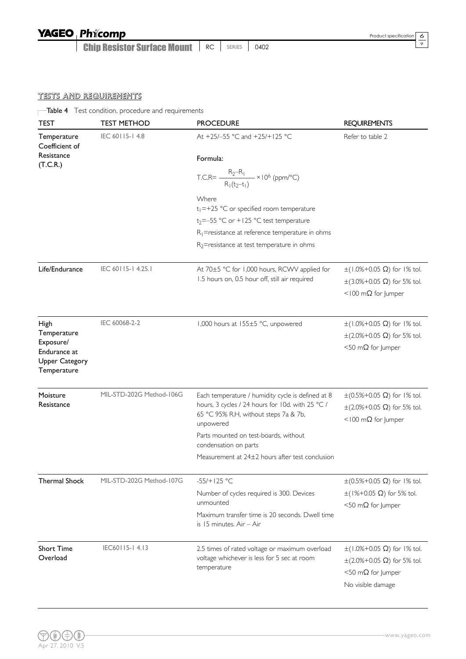Chip Resistor Surface Mount | RC | SERIES | 0402

 $rac{6}{9}$ 

### TESTS AND REQUIREMENTS

Table 4 Test condition, procedure and requirements

| <b>TEST</b>                                                                              | <b>TEST METHOD</b>       | <b>PROCEDURE</b>                                                                                                                                            | <b>REQUIREMENTS</b>                                                                                                             |
|------------------------------------------------------------------------------------------|--------------------------|-------------------------------------------------------------------------------------------------------------------------------------------------------------|---------------------------------------------------------------------------------------------------------------------------------|
| Temperature<br>Coefficient of                                                            | IEC 60115-14.8           | At +25/-55 °C and +25/+125 °C                                                                                                                               | Refer to table 2                                                                                                                |
| Resistance<br>(T.C.R.)                                                                   |                          | Formula:                                                                                                                                                    |                                                                                                                                 |
|                                                                                          |                          | T.C.R= $\frac{R_2 - R_1}{R_1(t_2 - t_1)}$ × 10 <sup>6</sup> (ppm/°C)                                                                                        |                                                                                                                                 |
|                                                                                          |                          | Where<br>$t_1 = +25$ °C or specified room temperature                                                                                                       |                                                                                                                                 |
|                                                                                          |                          | $t_2 = -55$ °C or +125 °C test temperature                                                                                                                  |                                                                                                                                 |
|                                                                                          |                          | $R_1$ =resistance at reference temperature in ohms                                                                                                          |                                                                                                                                 |
|                                                                                          |                          | $R_2$ =resistance at test temperature in ohms                                                                                                               |                                                                                                                                 |
| Life/Endurance                                                                           | IEC 60115-14.25.1        | At 70±5 °C for 1,000 hours, RCWV applied for<br>1.5 hours on, 0.5 hour off, still air required                                                              | $\pm$ (1.0%+0.05 Ω) for 1% tol.<br>$\pm$ (3.0%+0.05 $\Omega$ ) for 5% tol.<br>$<$ 100 m $\Omega$ for Jumper                     |
| High<br>Temperature<br>Exposure/<br>Endurance at<br><b>Upper Category</b><br>Temperature | IEC 60068-2-2            | 1,000 hours at 155±5 °C, unpowered                                                                                                                          | $\pm$ (1.0%+0.05 Ω) for 1% tol.<br>$\pm$ (2.0%+0.05 $\Omega$ ) for 5% tol.<br>$<$ 50 m $\Omega$ for Jumper                      |
| Moisture<br>Resistance                                                                   | MIL-STD-202G Method-106G | Each temperature / humidity cycle is defined at 8<br>hours, 3 cycles / 24 hours for 10d. with 25 °C /<br>65 °C 95% R.H, without steps 7a & 7b,<br>unpowered | $\pm$ (0.5%+0.05 Ω) for 1% tol.<br>$\pm$ (2.0%+0.05 $\Omega$ ) for 5% tol.<br><100 m $\Omega$ for Jumper                        |
|                                                                                          |                          | Parts mounted on test-boards, without<br>condensation on parts                                                                                              |                                                                                                                                 |
|                                                                                          |                          | Measurement at 24±2 hours after test conclusion                                                                                                             |                                                                                                                                 |
| <b>Thermal Shock</b>                                                                     | MIL-STD-202G Method-107G | $-55/+125 °C$                                                                                                                                               | $\pm$ (0.5%+0.05 Ω) for 1% tol.                                                                                                 |
|                                                                                          |                          | Number of cycles required is 300. Devices<br>unmounted                                                                                                      | $\pm$ (1%+0.05 Ω) for 5% tol.<br>$<$ 50 m $\Omega$ for Jumper                                                                   |
|                                                                                          |                          | Maximum transfer time is 20 seconds. Dwell time<br>is 15 minutes. Air - Air                                                                                 |                                                                                                                                 |
| <b>Short Time</b><br>Overload                                                            | IEC60115-14.13           | 2.5 times of rated voltage or maximum overload<br>voltage whichever is less for 5 sec at room<br>temperature                                                | $\pm$ (1.0%+0.05 Ω) for 1% tol.<br>$\pm$ (2.0%+0.05 $\Omega$ ) for 5% tol.<br>$<$ 50 m $\Omega$ for Jumper<br>No visible damage |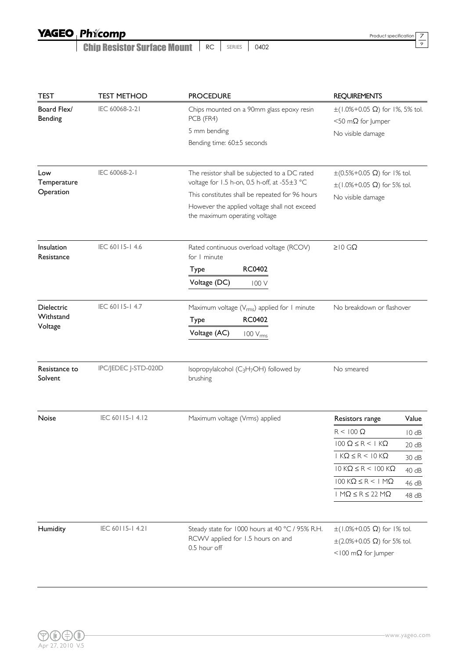Chip Resistor Surface Mount | RC | SERIES | 0402

Product specification  $\frac{7}{9}$ 

| <b>TEST</b>                     | <b>TEST METHOD</b>   | <b>PROCEDURE</b>                                                                                                                                                                                                                  | <b>REQUIREMENTS</b>                                                                                      |       |
|---------------------------------|----------------------|-----------------------------------------------------------------------------------------------------------------------------------------------------------------------------------------------------------------------------------|----------------------------------------------------------------------------------------------------------|-------|
| Board Flex/<br>Bending          | IEC 60068-2-21       | Chips mounted on a 90mm glass epoxy resin<br>PCB (FR4)                                                                                                                                                                            | $\pm$ (1.0%+0.05 $\Omega$ ) for 1%, 5% tol.<br>$<$ 50 m $\Omega$ for Jumper                              |       |
|                                 |                      | 5 mm bending                                                                                                                                                                                                                      | No visible damage                                                                                        |       |
|                                 |                      | Bending time: 60±5 seconds                                                                                                                                                                                                        |                                                                                                          |       |
| Low<br>Temperature<br>Operation | IEC 60068-2-1        | The resistor shall be subjected to a DC rated<br>voltage for 1.5 h-on, 0.5 h-off, at -55±3 °C<br>This constitutes shall be repeated for 96 hours<br>However the applied voltage shall not exceed<br>the maximum operating voltage | $\pm (0.5\% + 0.05 \Omega)$ for 1% tol.<br>$\pm (1.0\% + 0.05 \Omega)$ for 5% tol.<br>No visible damage  |       |
| Insulation<br>Resistance        | IEC 60115-14.6       | Rated continuous overload voltage (RCOV)<br>for I minute<br><b>RC0402</b><br>Type<br>Voltage (DC)<br>100 V                                                                                                                        | $\geq 10$ GΩ                                                                                             |       |
|                                 |                      |                                                                                                                                                                                                                                   |                                                                                                          |       |
| <b>Dielectric</b><br>Withstand  | IEC 60115-14.7       | Maximum voltage ( $V_{rms}$ ) applied for 1 minute                                                                                                                                                                                | No breakdown or flashover                                                                                |       |
| Voltage                         |                      | <b>RC0402</b><br>Type                                                                                                                                                                                                             |                                                                                                          |       |
|                                 |                      | Voltage (AC)<br>$100 V_{rms}$                                                                                                                                                                                                     |                                                                                                          |       |
| Resistance to<br>Solvent        | IPC/JEDEC J-STD-020D | Isopropylalcohol (C <sub>3</sub> H <sub>7</sub> OH) followed by<br>brushing                                                                                                                                                       | No smeared                                                                                               |       |
| Noise                           | IEC 60115-14.12      | Maximum voltage (Vrms) applied                                                                                                                                                                                                    | Resistors range                                                                                          | Value |
|                                 |                      |                                                                                                                                                                                                                                   | $R < 100 \Omega$                                                                                         | 10dB  |
|                                 |                      |                                                                                                                                                                                                                                   | $100$ Ω $\leq$ R $\leq$ 1 KΩ                                                                             | 20 dB |
|                                 |                      |                                                                                                                                                                                                                                   | $1 K\Omega \leq R < 10 K\Omega$                                                                          | 30 dB |
|                                 |                      |                                                                                                                                                                                                                                   | 10 KΩ ≤ R < 100 KΩ                                                                                       | 40 dB |
|                                 |                      |                                                                                                                                                                                                                                   | $100$ KΩ $\leq$ R $\leq$ 1 MΩ                                                                            | 46 dB |
|                                 |                      |                                                                                                                                                                                                                                   | $1 M\Omega \le R \le 22 M\Omega$                                                                         | 48 dB |
| Humidity                        | IEC 60115-14.21      | Steady state for 1000 hours at 40 °C / 95% R.H.<br>RCWV applied for 1.5 hours on and<br>0.5 hour off                                                                                                                              | $\pm$ (1.0%+0.05 Ω) for 1% tol.<br>$\pm$ (2.0%+0.05 $\Omega$ ) for 5% tol.<br><100 m $\Omega$ for Jumper |       |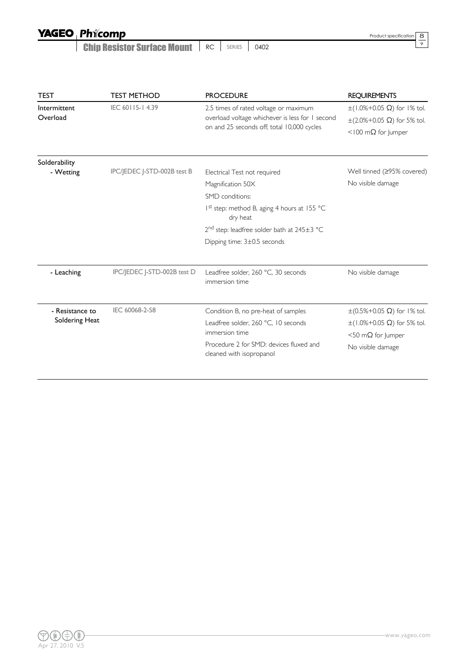| <b>YAGEO Phicomp</b> |
|----------------------|
|----------------------|

Chip Resistor Surface Mount | RC | SERIES | 0402

9

| <b>TEST</b>                | <b>TEST METHOD</b>          | <b>PROCEDURE</b>                                                                                                                       | <b>REQUIREMENTS</b>                                                                                         |
|----------------------------|-----------------------------|----------------------------------------------------------------------------------------------------------------------------------------|-------------------------------------------------------------------------------------------------------------|
| Intermittent<br>Overload   | IEC 60115-14.39             | 2.5 times of rated voltage or maximum<br>overload voltage whichever is less for I second<br>on and 25 seconds off; total 10,000 cycles | $\pm (1.0\% + 0.05 \Omega)$ for 1% tol.<br>$\pm$ (2.0%+0.05 Ω) for 5% tol.<br>$<$ 100 m $\Omega$ for Jumper |
| Solderability<br>- Wetting | IPC/JEDEC J-STD-002B test B | Electrical Test not required                                                                                                           | Well tinned (≥95% covered)                                                                                  |
|                            |                             | Magnification 50X                                                                                                                      | No visible damage                                                                                           |
|                            |                             | SMD conditions:                                                                                                                        |                                                                                                             |
|                            |                             | Ist step: method B, aging 4 hours at 155 °C<br>dry heat                                                                                |                                                                                                             |
|                            |                             | 2 <sup>nd</sup> step: leadfree solder bath at 245±3 °C                                                                                 |                                                                                                             |
|                            |                             | Dipping time: 3±0.5 seconds                                                                                                            |                                                                                                             |
| - Leaching                 | IPC/JEDEC J-STD-002B test D | Leadfree solder, 260 °C, 30 seconds<br>immersion time                                                                                  | No visible damage                                                                                           |
| - Resistance to            | IEC 60068-2-58              | Condition B, no pre-heat of samples                                                                                                    | $\pm$ (0.5%+0.05 Ω) for 1% tol.                                                                             |
| Soldering Heat             |                             | Leadfree solder, 260 °C, 10 seconds<br>immersion time                                                                                  | $\pm$ (1.0%+0.05 Ω) for 5% tol.<br>$<$ 50 m $\Omega$ for Jumper                                             |
|                            |                             | Procedure 2 for SMD; devices fluxed and<br>cleaned with isopropanol                                                                    | No visible damage                                                                                           |